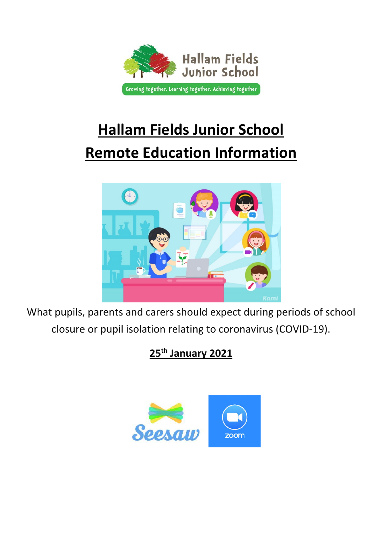

# **Hallam Fields Junior School Remote Education Information**



What pupils, parents and carers should expect during periods of school closure or pupil isolation relating to coronavirus (COVID-19).

**25th January 2021**

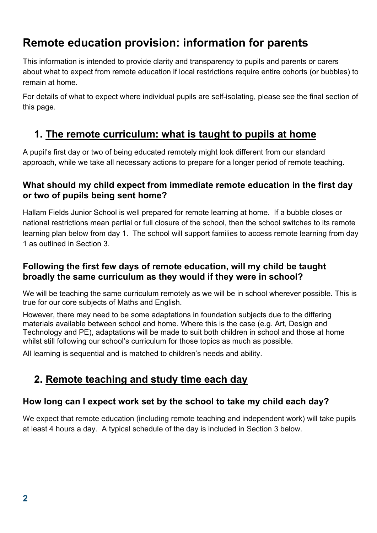## **Remote education provision: information for parents**

This information is intended to provide clarity and transparency to pupils and parents or carers about what to expect from remote education if local restrictions require entire cohorts (or bubbles) to remain at home.

For details of what to expect where individual pupils are self-isolating, please see the final section of this page.

### **1. The remote curriculum: what is taught to pupils at home**

A pupil's first day or two of being educated remotely might look different from our standard approach, while we take all necessary actions to prepare for a longer period of remote teaching.

#### **What should my child expect from immediate remote education in the first day or two of pupils being sent home?**

Hallam Fields Junior School is well prepared for remote learning at home. If a bubble closes or national restrictions mean partial or full closure of the school, then the school switches to its remote learning plan below from day 1. The school will support families to access remote learning from day 1 as outlined in Section 3.

#### **Following the first few days of remote education, will my child be taught broadly the same curriculum as they would if they were in school?**

We will be teaching the same curriculum remotely as we will be in school wherever possible. This is true for our core subjects of Maths and English.

However, there may need to be some adaptations in foundation subjects due to the differing materials available between school and home. Where this is the case (e.g. Art, Design and Technology and PE), adaptations will be made to suit both children in school and those at home whilst still following our school's curriculum for those topics as much as possible.

All learning is sequential and is matched to children's needs and ability.

## **2. Remote teaching and study time each day**

#### **How long can I expect work set by the school to take my child each day?**

We expect that remote education (including remote teaching and independent work) will take pupils at least 4 hours a day. A typical schedule of the day is included in Section 3 below.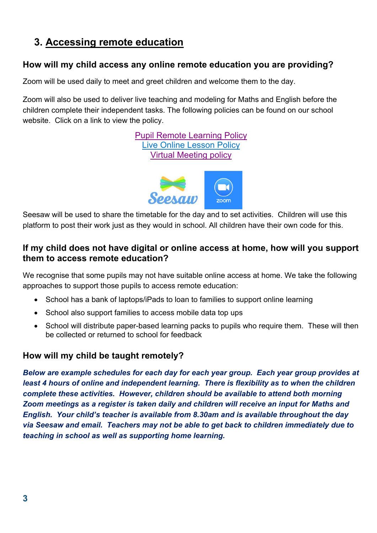## **3. Accessing remote education**

#### **How will my child access any online remote education you are providing?**

Zoom will be used daily to meet and greet children and welcome them to the day.

Zoom will also be used to deliver live teaching and modeling for Maths and English before the children complete their independent tasks. The following policies can be found on our school website. Click on a link to view the policy.

> Pupil Remote Learning Policy Live Online Lesson Policy Virtual Meeting policy



Seesaw will be used to share the timetable for the day and to set activities. Children will use this platform to post their work just as they would in school. All children have their own code for this.

#### **If my child does not have digital or online access at home, how will you support them to access remote education?**

We recognise that some pupils may not have suitable online access at home. We take the following approaches to support those pupils to access remote education:

- School has a bank of laptops/iPads to loan to families to support online learning
- School also support families to access mobile data top ups
- School will distribute paper-based learning packs to pupils who require them. These will then be collected or returned to school for feedback

#### **How will my child be taught remotely?**

*Below are example schedules for each day for each year group. Each year group provides at least 4 hours of online and independent learning. There is flexibility as to when the children complete these activities. However, children should be available to attend both morning Zoom meetings as a register is taken daily and children will receive an input for Maths and English. Your child's teacher is available from 8.30am and is available throughout the day via Seesaw and email. Teachers may not be able to get back to children immediately due to teaching in school as well as supporting home learning.*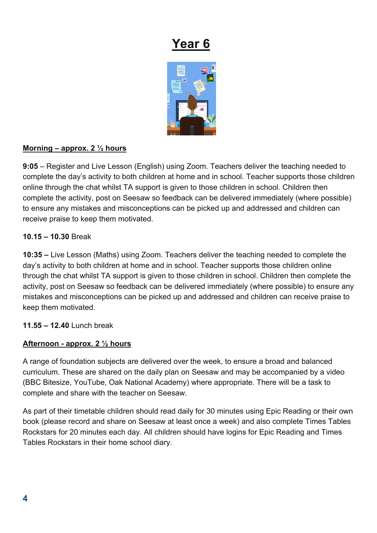

#### **Morning – approx. 2 ½ hours**

**9:05** – Register and Live Lesson (English) using Zoom. Teachers deliver the teaching needed to complete the day's activity to both children at home and in school. Teacher supports those children online through the chat whilst TA support is given to those children in school. Children then complete the activity, post on Seesaw so feedback can be delivered immediately (where possible) to ensure any mistakes and misconceptions can be picked up and addressed and children can receive praise to keep them motivated.

#### **10.15 – 10.30** Break

**10:35 –** Live Lesson (Maths) using Zoom. Teachers deliver the teaching needed to complete the day's activity to both children at home and in school. Teacher supports those children online through the chat whilst TA support is given to those children in school. Children then complete the activity, post on Seesaw so feedback can be delivered immediately (where possible) to ensure any mistakes and misconceptions can be picked up and addressed and children can receive praise to keep them motivated.

#### **11.55 – 12.40** Lunch break

#### **Afternoon - approx. 2 ½ hours**

A range of foundation subjects are delivered over the week, to ensure a broad and balanced curriculum. These are shared on the daily plan on Seesaw and may be accompanied by a video (BBC Bitesize, YouTube, Oak National Academy) where appropriate. There will be a task to complete and share with the teacher on Seesaw.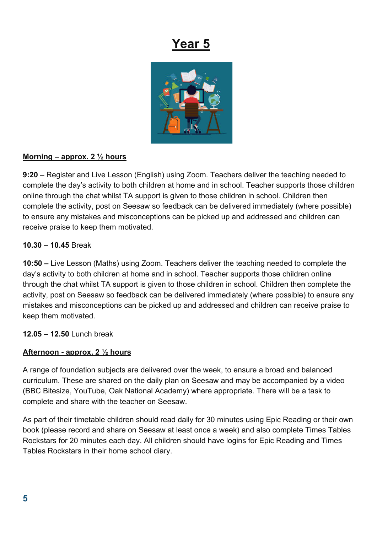

#### **Morning – approx. 2 ½ hours**

**9:20** – Register and Live Lesson (English) using Zoom. Teachers deliver the teaching needed to complete the day's activity to both children at home and in school. Teacher supports those children online through the chat whilst TA support is given to those children in school. Children then complete the activity, post on Seesaw so feedback can be delivered immediately (where possible) to ensure any mistakes and misconceptions can be picked up and addressed and children can receive praise to keep them motivated.

#### **10.30 – 10.45** Break

**10:50 –** Live Lesson (Maths) using Zoom. Teachers deliver the teaching needed to complete the day's activity to both children at home and in school. Teacher supports those children online through the chat whilst TA support is given to those children in school. Children then complete the activity, post on Seesaw so feedback can be delivered immediately (where possible) to ensure any mistakes and misconceptions can be picked up and addressed and children can receive praise to keep them motivated.

**12.05 – 12.50** Lunch break

#### **Afternoon - approx. 2 ½ hours**

A range of foundation subjects are delivered over the week, to ensure a broad and balanced curriculum. These are shared on the daily plan on Seesaw and may be accompanied by a video (BBC Bitesize, YouTube, Oak National Academy) where appropriate. There will be a task to complete and share with the teacher on Seesaw.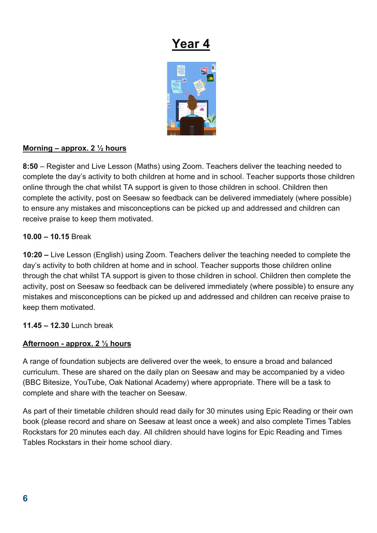

#### **Morning – approx. 2 ½ hours**

**8:50** – Register and Live Lesson (Maths) using Zoom. Teachers deliver the teaching needed to complete the day's activity to both children at home and in school. Teacher supports those children online through the chat whilst TA support is given to those children in school. Children then complete the activity, post on Seesaw so feedback can be delivered immediately (where possible) to ensure any mistakes and misconceptions can be picked up and addressed and children can receive praise to keep them motivated.

#### **10.00 – 10.15** Break

**10:20 –** Live Lesson (English) using Zoom. Teachers deliver the teaching needed to complete the day's activity to both children at home and in school. Teacher supports those children online through the chat whilst TA support is given to those children in school. Children then complete the activity, post on Seesaw so feedback can be delivered immediately (where possible) to ensure any mistakes and misconceptions can be picked up and addressed and children can receive praise to keep them motivated.

#### **11.45 – 12.30** Lunch break

#### **Afternoon - approx. 2 ½ hours**

A range of foundation subjects are delivered over the week, to ensure a broad and balanced curriculum. These are shared on the daily plan on Seesaw and may be accompanied by a video (BBC Bitesize, YouTube, Oak National Academy) where appropriate. There will be a task to complete and share with the teacher on Seesaw.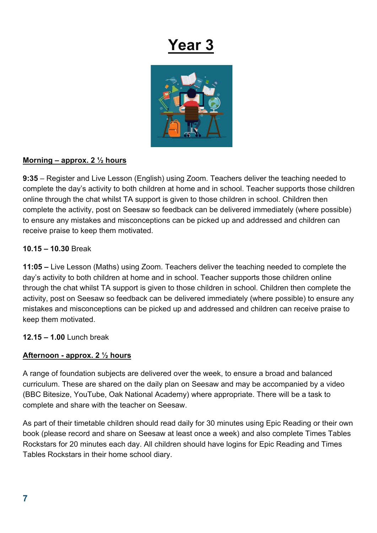

#### **Morning – approx. 2 ½ hours**

**9:35** – Register and Live Lesson (English) using Zoom. Teachers deliver the teaching needed to complete the day's activity to both children at home and in school. Teacher supports those children online through the chat whilst TA support is given to those children in school. Children then complete the activity, post on Seesaw so feedback can be delivered immediately (where possible) to ensure any mistakes and misconceptions can be picked up and addressed and children can receive praise to keep them motivated.

#### **10.15 – 10.30** Break

**11:05 –** Live Lesson (Maths) using Zoom. Teachers deliver the teaching needed to complete the day's activity to both children at home and in school. Teacher supports those children online through the chat whilst TA support is given to those children in school. Children then complete the activity, post on Seesaw so feedback can be delivered immediately (where possible) to ensure any mistakes and misconceptions can be picked up and addressed and children can receive praise to keep them motivated.

#### **12.15 – 1.00** Lunch break

#### **Afternoon - approx. 2 ½ hours**

A range of foundation subjects are delivered over the week, to ensure a broad and balanced curriculum. These are shared on the daily plan on Seesaw and may be accompanied by a video (BBC Bitesize, YouTube, Oak National Academy) where appropriate. There will be a task to complete and share with the teacher on Seesaw.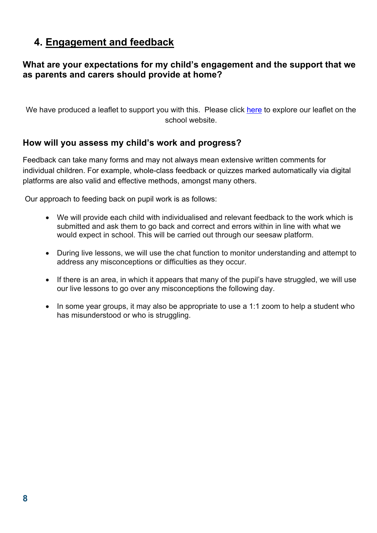### **4. Engagement and feedback**

#### **What are your expectations for my child's engagement and the support that we as parents and carers should provide at home?**

We have produced a leaflet to support you with this. Please click here to explore our leaflet on the school website.

#### **How will you assess my child's work and progress?**

Feedback can take many forms and may not always mean extensive written comments for individual children. For example, whole-class feedback or quizzes marked automatically via digital platforms are also valid and effective methods, amongst many others.

Our approach to feeding back on pupil work is as follows:

- We will provide each child with individualised and relevant feedback to the work which is submitted and ask them to go back and correct and errors within in line with what we would expect in school. This will be carried out through our seesaw platform.
- During live lessons, we will use the chat function to monitor understanding and attempt to address any misconceptions or difficulties as they occur.
- If there is an area, in which it appears that many of the pupil's have struggled, we will use our live lessons to go over any misconceptions the following day.
- In some year groups, it may also be appropriate to use a 1:1 zoom to help a student who has misunderstood or who is struggling.